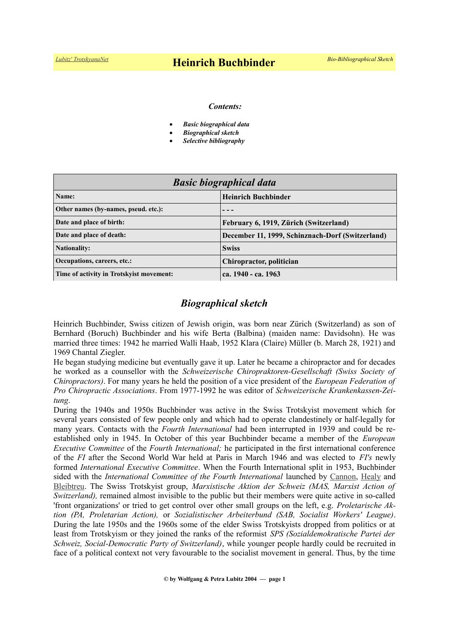#### *Contents:*

- *Basic biographical data*
- *Biographical sketch*
- *Selective bibliography*

| <b>Basic biographical data</b>           |                                                  |
|------------------------------------------|--------------------------------------------------|
| Name:                                    | <b>Heinrich Buchbinder</b>                       |
| Other names (by-names, pseud. etc.):     |                                                  |
| Date and place of birth:                 | February 6, 1919, Zürich (Switzerland)           |
| Date and place of death:                 | December 11, 1999, Schinznach-Dorf (Switzerland) |
| <b>Nationality:</b>                      | <b>Swiss</b>                                     |
| Occupations, careers, etc.:              | Chiropractor, politician                         |
| Time of activity in Trotskyist movement: | ca. 1940 - ca. 1963                              |

## *Biographical sketch*

Heinrich Buchbinder, Swiss citizen of Jewish origin, was born near Zürich (Switzerland) as son of Bernhard (Boruch) Buchbinder and his wife Berta (Balbina) (maiden name: Davidsohn). He was married three times: 1942 he married Walli Haab, 1952 Klara (Claire) Müller (b. March 28, 1921) and 1969 Chantal Ziegler.

He began studying medicine but eventually gave it up. Later he became a chiropractor and for decades he worked as a counsellor with the *Schweizerische Chiropraktoren-Gesellschaft (Swiss Society of Chiropractors)*. For many years he held the position of a vice president of the *European Federation of Pro Chiropractic Associations*. From 1977-1992 he was editor of *Schweizerische Krankenkassen-Zeitung*.

During the 1940s and 1950s Buchbinder was active in the Swiss Trotskyist movement which for several years consisted of few people only and which had to operate clandestinely or half-legally for many years. Contacts with the *Fourth International* had been interrupted in 1939 and could be reestablished only in 1945. In October of this year Buchbinder became a member of the *European Executive Committee* of the *Fourth International;* he participated in the first international conference of the *FI* after the Second World War held at Paris in March 1946 and was elected to *FI's* newly formed *International Executive Committee*. When the Fourth International split in 1953, Buchbinder sided with the *International Committee of the Fourth International* launched by [Cannon,](https://www.trotskyana.net/Trotskyists/Bio-Bibliographies/bio-bibl_cannon.pdf) [Healy](https://www.trotskyana.net/Trotskyists/Bio-Bibliographies/bio-bibl_healy.pdf) and [Bleibtreu.](https://en.wikipedia.org/wiki/Marcel_Bleibtreu) The Swiss Trotskyist group, *Marxistische Aktion der Schweiz (MAS, Marxist Action of Switzerland*), remained almost invisible to the public but their members were quite active in so-called 'front organizations' or tried to get control over other small groups on the left, e.g. *Proletarische Aktion (PA, Proletarian Action),* or *Sozialistischer Arbeiterbund (SAB, Socialist Workers' League)*. During the late 1950s and the 1960s some of the elder Swiss Trotskyists dropped from politics or at least from Trotskyism or they joined the ranks of the reformist *SPS (Sozialdemokratische Partei der Schweiz, Social-Democratic Party of Switzerland)*, while younger people hardly could be recruited in face of a political context not very favourable to the socialist movement in general. Thus, by the time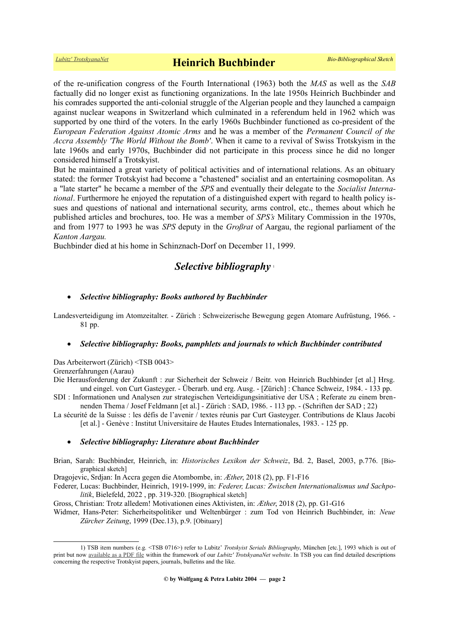of the re-unification congress of the Fourth International (1963) both the *MAS* as well as the *SAB* factually did no longer exist as functioning organizations. In the late 1950s Heinrich Buchbinder and his comrades supported the anti-colonial struggle of the Algerian people and they launched a campaign against nuclear weapons in Switzerland which culminated in a referendum held in 1962 which was supported by one third of the voters. In the early 1960s Buchbinder functioned as co-president of the *European Federation Against Atomic Arms* and he was a member of the *Permanent Council of the Accra Assembly 'The World Without the Bomb'*. When it came to a revival of Swiss Trotskyism in the late 1960s and early 1970s, Buchbinder did not participate in this process since he did no longer considered himself a Trotskyist.

But he maintained a great variety of political activities and of international relations. As an obituary stated: the former Trotskyist had become a "chastened" socialist and an entertaining cosmopolitan. As a "late starter" he became a member of the *SPS* and eventually their delegate to the *Socialist International*. Furthermore he enjoyed the reputation of a distinguished expert with regard to health policy issues and questions of national and international security, arms control, etc., themes about which he published articles and brochures, too. He was a member of *SPS's* Military Commission in the 1970s, and from 1977 to 1993 he was *SPS* deputy in the *Großrat* of Aargau, the regional parliament of the *Kanton Aargau.* 

Buchbinder died at his home in Schinznach-Dorf on December 11, 1999.

## *Selective bibliography* [1](#page-1-0)

### *Selective bibliography: Books authored by Buchbinder*

Landesverteidigung im Atomzeitalter. - Zürich : Schweizerische Bewegung gegen Atomare Aufrüstung, 1966. - 81 pp.

#### *Selective bibliography: Books, pamphlets and journals to which Buchbinder contributed*

Das Arbeiterwort (Zürich) <TSB 0043>

Grenzerfahrungen (Aarau)

Die Herausforderung der Zukunft : zur Sicherheit der Schweiz / Beitr. von Heinrich Buchbinder [et al.] Hrsg. und eingel. von Curt Gasteyger. - Überarb. und erg. Ausg. - [Zürich] : Chance Schweiz, 1984. - 133 pp.

SDI : Informationen und Analysen zur strategischen Verteidigungsinitiative der USA ; Referate zu einem brennenden Thema / Josef Feldmann [et al.] - Zürich : SAD, 1986. - 113 pp. - (Schriften der SAD ; 22)

La sécurité de la Suisse : les défis de l'avenir / textes réunis par Curt Gasteyger. Contributions de Klaus Jacobi [et al.] - Genève : Institut Universitaire de Hautes Etudes Internationales, 1983. - 125 pp.

### *Selective bibliography: Literature about Buchbinder*

Brian, Sarah: Buchbinder, Heinrich, in: *Historisches Lexikon der Schweiz*, Bd. 2, Basel, 2003, p.776. [Biographical sketch]

Dragojevic, Srdjan: In Accra gegen die Atombombe, in: *Æther*, 2018 (2), pp. F1-F16

Federer, Lucas: Buchbinder, Heinrich, 1919-1999, in: *Federer, Lucas: Zwischen Internationalismus und Sachpolitik*, Bielefeld, 2022 , pp. 319-320. [Biographical sketch]

Gross, Christian: Trotz alledem! Motivationen eines Aktivisten, in: *Æther*, 2018 (2), pp. G1-G16

Widmer, Hans-Peter: Sicherheitspolitiker und Weltenbürger : zum Tod von Heinrich Buchbinder, in: *Neue Zürcher Zeitung*, 1999 (Dec.13), p.9. [Obituary]

<span id="page-1-0"></span><sup>1)</sup> TSB item numbers (e.g. <TSB 0716>) refer to Lubitz' *Trotskyist Serials Bibliography*, München [etc.], 1993 which is out of print but now [available as a PDF file](https://www.trotskyana.net/LubitzBibliographies/Serials_Bibliography/serials_bibliography.htm#PDF) within the framework of our *Lubitz' TrotskyanaNet website*. In TSB you can find detailed descriptions concerning the respective Trotskyist papers, journals, bulletins and the like.